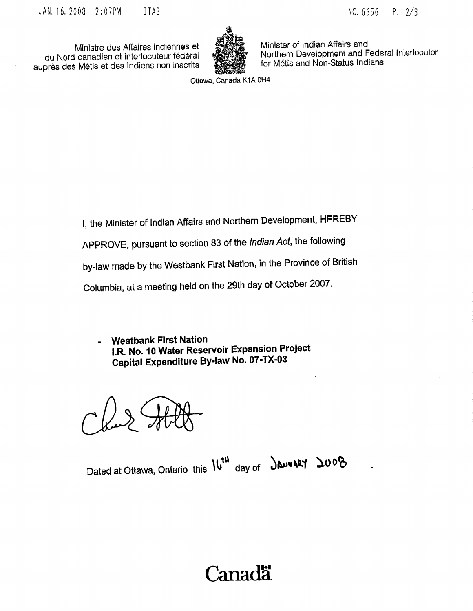du Nord canadien et interlocuteur fédéral Martia San Morthern Development and Federal Interlocuteur fédéral Mo<br>Drès des Métis et des Indiens non inscrits de San Morthern Métis and Non-Status Indians auprès des Métis et des Indiens non inscrits



Ministre des Affaires indiennes et Minister of Indian Affairs and<br>Loanadien et interlocuteur fédéral WAGASS Northern Development and Federal Interlocutor

Ottawa, Canada K1A 0H4

I, the Minister of Indian Affairs and Northern Development, HEREBY APPROVE, pursuant to section <sup>83</sup> of the Indian Act, the following by -law made by the Wesfibank First Nation, in the Province of British Columbia, at <sup>a</sup> meeting held on the 29th day of October 2007.

Westbank First Nation  $\overline{\phantom{a}}$ I.R. No. 10 Water Reservoir Expansion Project Capital Expenditure By -law No. 07 -TX -03

Dated at Ottawa, Ontario this IU<sup>14</sup> day of **DADUARY** 

# **Canada**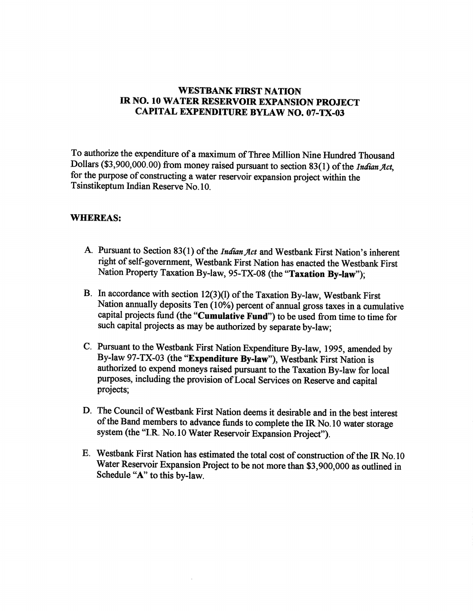#### WESTBANK FIRST NATION IR NO, to WATER RESERVOIR EXPANSION PROJECT CAPITAL EXPENDITURE BYLAW NO. 07-TX-03

To authorize the expenditure of a maximum of Three Million Nine Hundred Thousand Dollars (\$3,900,000.00) from money raised pursuant to section 83(1) of the Indian Act, for the purpose of constructing <sup>a</sup> water reservoir expansion project within the Tsinstikeptum Indian Reserve No. 10.

#### WHEREAS:

- A. Pursuant to Section 83(1) of the *Indian Act* and Westbank First Nation's inherent right of self-government, Westbank First Nation has enacted the Westbank First Nation Property Taxation By-law, 95-TX-08 (the "Taxation By-law");
- B. In accordance with section  $12(3)(1)$  of the Taxation By-law, Westbank First Nation annually deposits Ten (10%) percent of annual gross taxes in a cumulative capital projects fund (the "Cumulative Fund") to be used from time to time for such capital projects as may be authorized by separate by -law;
- C. Pursuant to the Westbank First Nation Expenditure By -law, 1995, amended by By-law 97-TX-03 (the "Expenditure By-law"), Westbank First Nation is authorized to expend moneys raised pursuant to the Taxation By -law for local purposes, including the provision of Local Services on Reserve and capital projects;
- D. The Council of Westbank First Nation deems it desirable and in the best interest of the Band members to advance funds to complete the IR No. 10 water storage system (the "I.R. No. 10 Water Reservoir Expansion Project").
- E. Westbank First Nation has estimated the total cost of construction ofthe IR No. 10 Water Reservoir Expansion Project to be not more than \$3,900,000 as outlined in Schedule "A" to this by-law.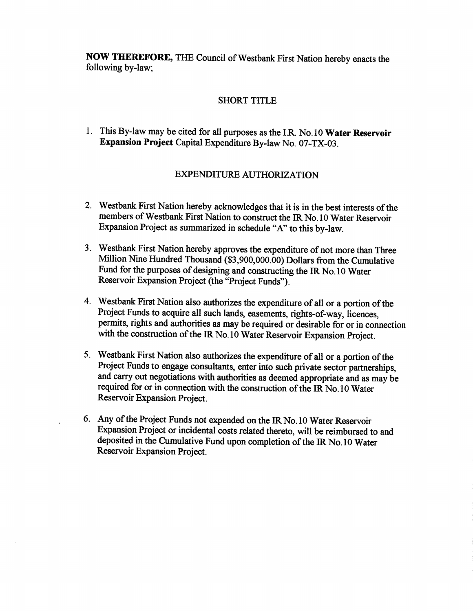NOW THEREFORE, THE Council of Westbank First Nation hereby enacts the following by-law;

### SHORT TITLE

1. This By-law may be cited for all purposes as the I.R. No. 10 Water Reservoir Expansion Project Capital Expenditure By-law No. 07-TX-03.

## EXPENDITURE AUTHORIZATION

- 2. Westbank First Nation hereby acknowledges that it is in the best interests of the members of Westbank First Nation to construct the IR No. 10 Water Reservoir Expansion Project as summarized in schedule "A" to this by -law.
- 3. westbank First Nation hereby approves the expenditure of not more than Three Expansion Project as summarized in schedule "A" to this by-law.<br>Westbank First Nation hereby approves the expenditure of not more than Three<br>Million Nine Hundred Thousand (\$3,900,000.00) Dollars from the Cumulative<br>Fund fo Fund for the purposes of designing and constructing the IR No. 10 Water Reservoir Expansion Project (the "Project Funds').
- 4. Westbank First Nation also authorizes the expenditure of all or a portion of the Project Funds to acquire all such lands, easements, rights-of-way, licences, permits, rights and authorities as may be required or desirable for or in connection with the construction of the IR No. 10 Water Reservoir Expansion Project.
- 5. Westbank First Nation also authorizes the expenditure of all or a portion of the Project Funds to engage consultants, enter into such private sector partnerships, and carry out negotiations with authorities as deemed appropriate and as may be required for or in connection with the construction of the IR No. 10 Water Reservoir Expansion Project.
- 6. Any of the Project Funds not expended on the IR No. 10 Water Reservoir Expansion Project or incidental costs related thereto, will be reimbursed to and deposited in the Cumulative Fund upon completion of the IR No.10 Water Reservoir Expansion Project.